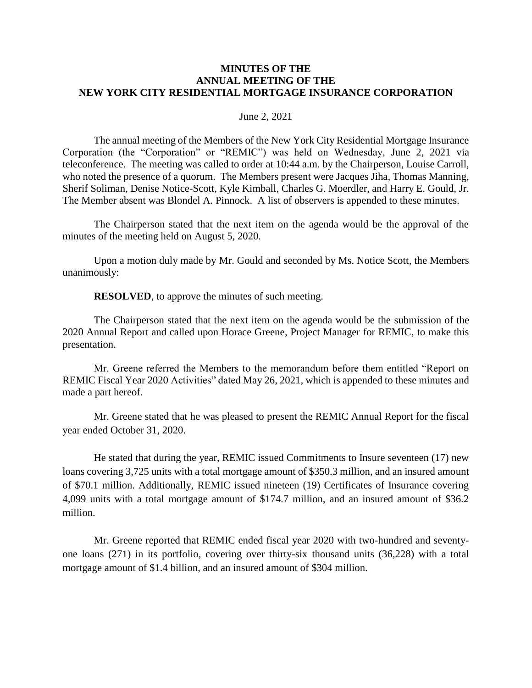#### **MINUTES OF THE ANNUAL MEETING OF THE NEW YORK CITY RESIDENTIAL MORTGAGE INSURANCE CORPORATION**

#### June 2, 2021

The annual meeting of the Members of the New York City Residential Mortgage Insurance Corporation (the "Corporation" or "REMIC") was held on Wednesday, June 2, 2021 via teleconference. The meeting was called to order at 10:44 a.m. by the Chairperson, Louise Carroll, who noted the presence of a quorum. The Members present were Jacques Jiha, Thomas Manning, Sherif Soliman, Denise Notice-Scott, Kyle Kimball, Charles G. Moerdler, and Harry E. Gould, Jr. The Member absent was Blondel A. Pinnock. A list of observers is appended to these minutes.

The Chairperson stated that the next item on the agenda would be the approval of the minutes of the meeting held on August 5, 2020.

Upon a motion duly made by Mr. Gould and seconded by Ms. Notice Scott, the Members unanimously:

**RESOLVED**, to approve the minutes of such meeting.

The Chairperson stated that the next item on the agenda would be the submission of the 2020 Annual Report and called upon Horace Greene, Project Manager for REMIC, to make this presentation.

Mr. Greene referred the Members to the memorandum before them entitled "Report on REMIC Fiscal Year 2020 Activities" dated May 26, 2021, which is appended to these minutes and made a part hereof.

Mr. Greene stated that he was pleased to present the REMIC Annual Report for the fiscal year ended October 31, 2020.

He stated that during the year, REMIC issued Commitments to Insure seventeen (17) new loans covering 3,725 units with a total mortgage amount of \$350.3 million, and an insured amount of \$70.1 million. Additionally, REMIC issued nineteen (19) Certificates of Insurance covering 4,099 units with a total mortgage amount of \$174.7 million, and an insured amount of \$36.2 million.

Mr. Greene reported that REMIC ended fiscal year 2020 with two-hundred and seventyone loans (271) in its portfolio, covering over thirty-six thousand units (36,228) with a total mortgage amount of \$1.4 billion, and an insured amount of \$304 million.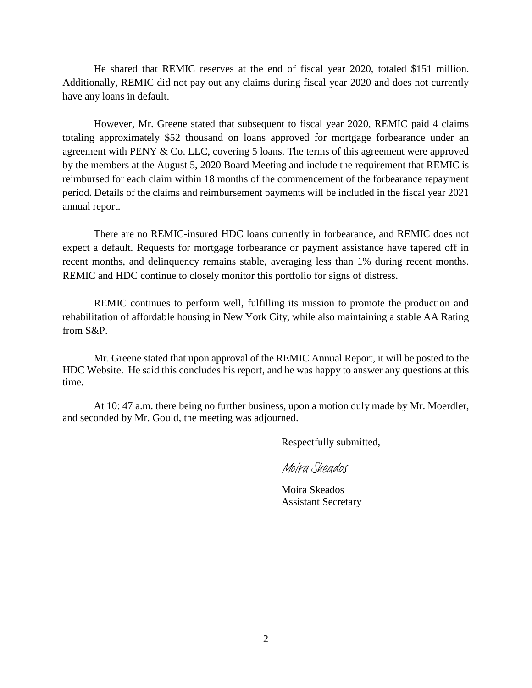He shared that REMIC reserves at the end of fiscal year 2020, totaled \$151 million. Additionally, REMIC did not pay out any claims during fiscal year 2020 and does not currently have any loans in default.

However, Mr. Greene stated that subsequent to fiscal year 2020, REMIC paid 4 claims totaling approximately \$52 thousand on loans approved for mortgage forbearance under an agreement with PENY & Co. LLC, covering 5 loans. The terms of this agreement were approved by the members at the August 5, 2020 Board Meeting and include the requirement that REMIC is reimbursed for each claim within 18 months of the commencement of the forbearance repayment period. Details of the claims and reimbursement payments will be included in the fiscal year 2021 annual report.

There are no REMIC-insured HDC loans currently in forbearance, and REMIC does not expect a default. Requests for mortgage forbearance or payment assistance have tapered off in recent months, and delinquency remains stable, averaging less than 1% during recent months. REMIC and HDC continue to closely monitor this portfolio for signs of distress.

REMIC continues to perform well, fulfilling its mission to promote the production and rehabilitation of affordable housing in New York City, while also maintaining a stable AA Rating from S&P.

Mr. Greene stated that upon approval of the REMIC Annual Report, it will be posted to the HDC Website. He said this concludes his report, and he was happy to answer any questions at this time.

At 10: 47 a.m. there being no further business, upon a motion duly made by Mr. Moerdler, and seconded by Mr. Gould, the meeting was adjourned.

Respectfully submitted,

[Moira Skeados](https://nychdc.na1.echosign.com/verifier?tx=CBJCHBCAABAAZe7bEkXNhUjfNxUpWAj4gUaLmIXsz3VE)

Moira Skeados Assistant Secretary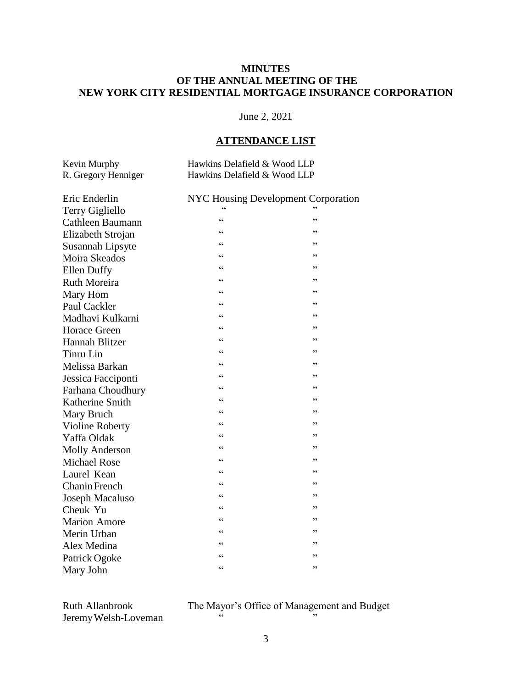#### **MINUTES OF THE ANNUAL MEETING OF THE NEW YORK CITY RESIDENTIAL MORTGAGE INSURANCE CORPORATION**

# June 2, 2021

# **ATTENDANCE LIST**

| Kevin Murphy        | Hawkins Delafield & Wood LLP |
|---------------------|------------------------------|
| R. Gregory Henniger | Hawkins Delafield & Wood LLP |

| Eric Enderlin         |            | <b>NYC Housing Development Corporation</b> |
|-----------------------|------------|--------------------------------------------|
| Terry Gigliello       |            |                                            |
| Cathleen Baumann      | $\epsilon$ | ,,                                         |
| Elizabeth Strojan     | $\epsilon$ | ,,                                         |
| Susannah Lipsyte      | $\epsilon$ | ,,                                         |
| Moira Skeados         | $\epsilon$ | ,,                                         |
| <b>Ellen Duffy</b>    | $\epsilon$ | ,,                                         |
| <b>Ruth Moreira</b>   | $\epsilon$ | ,,                                         |
| Mary Hom              | $\epsilon$ | , 2                                        |
| Paul Cackler          | $\epsilon$ | , 2                                        |
| Madhavi Kulkarni      | $\epsilon$ | ,,                                         |
| <b>Horace Green</b>   | $\epsilon$ | ,,                                         |
| Hannah Blitzer        | $\epsilon$ | , 2                                        |
| Tinru Lin             | $\epsilon$ | ,,                                         |
| Melissa Barkan        | $\epsilon$ | ,,                                         |
| Jessica Facciponti    | $\epsilon$ | ,,                                         |
| Farhana Choudhury     | $\epsilon$ | ,,                                         |
| Katherine Smith       | $\epsilon$ | ,,                                         |
| Mary Bruch            | $\epsilon$ | ,,                                         |
| Violine Roberty       | $\epsilon$ | ,,                                         |
| Yaffa Oldak           | cc         | , 2                                        |
| <b>Molly Anderson</b> | $\epsilon$ | ,,                                         |
| <b>Michael Rose</b>   | $\epsilon$ | ,,                                         |
| Laurel Kean           | $\epsilon$ | ,,                                         |
| Chanin French         | $\epsilon$ | ,,                                         |
| Joseph Macaluso       | $\epsilon$ | ,,                                         |
| Cheuk Yu              | $\epsilon$ | ,,                                         |
| <b>Marion Amore</b>   | cc         | ,,                                         |
| Merin Urban           | $\epsilon$ | , 2                                        |
| Alex Medina           | $\epsilon$ | ,,                                         |
| Patrick Ogoke         | $\epsilon$ | ,,                                         |
| Mary John             | $\epsilon$ | ,,                                         |

Jeremy Welsh-Loveman

Ruth Allanbrook The Mayor's Office of Management and Budget<br>Ieremy Welsh-Loveman "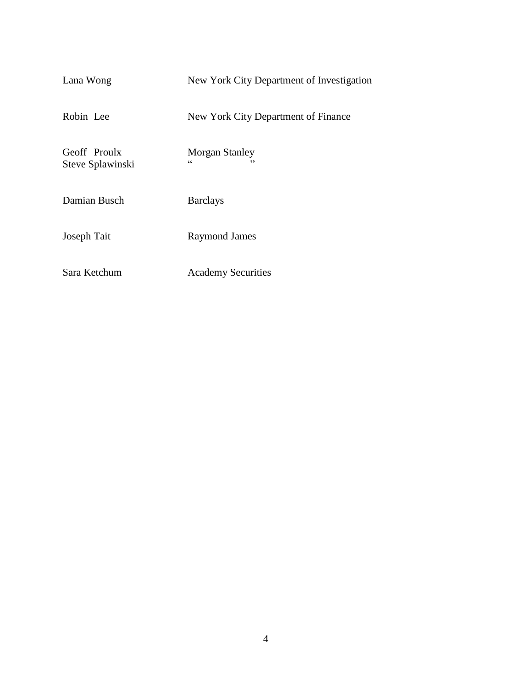| Lana Wong                        | New York City Department of Investigation  |
|----------------------------------|--------------------------------------------|
| Robin Lee                        | New York City Department of Finance        |
| Geoff Proulx<br>Steve Splawinski | <b>Morgan Stanley</b><br>$\epsilon$<br>د د |
| Damian Busch                     | <b>Barclays</b>                            |
| Joseph Tait                      | <b>Raymond James</b>                       |
| Sara Ketchum                     | <b>Academy Securities</b>                  |